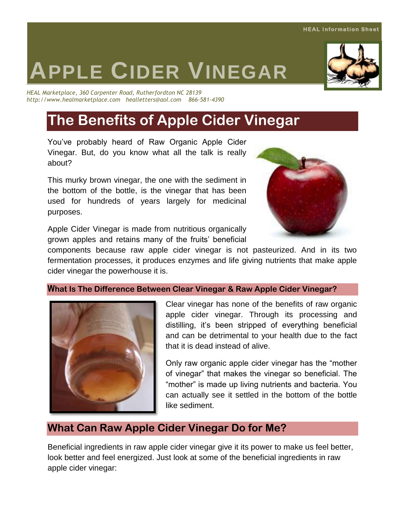# **APPLE CIDER VINEGAR**

*HEAL Marketplace, 360 Carpenter Road, Rutherfordton NC 28139 http://www.healmarketplace.com healletters@aol.com 866-581-4390*

## **The Benefits of Apple Cider Vinegar**

You've probably heard of Raw Organic Apple Cider Vinegar. But, do you know what all the talk is really about?

This murky brown vinegar, the one with the sediment in the bottom of the bottle, is the vinegar that has been used for hundreds of years largely for medicinal purposes.

Apple Cider Vinegar is made from nutritious organically grown apples and retains many of the fruits' beneficial

components because raw apple cider vinegar is not pasteurized. And in its two fermentation processes, it produces enzymes and life giving nutrients that make apple cider vinegar the powerhouse it is.

#### **What Is The Difference Between Clear Vinegar & Raw Apple Cider Vinegar?**



Clear vinegar has none of the benefits of raw organic apple cider vinegar. Through its processing and distilling, it's been stripped of everything beneficial and can be detrimental to your health due to the fact that it is dead instead of alive.

Only raw organic apple cider vinegar has the "mother of vinegar" that makes the vinegar so beneficial. The "mother" is made up living nutrients and bacteria. You can actually see it settled in the bottom of the bottle like sediment.

#### **What Can Raw Apple Cider Vinegar Do for Me?**

Beneficial ingredients in raw apple cider vinegar give it its power to make us feel better, look better and feel energized. Just look at some of the beneficial ingredients in raw apple cider vinegar:



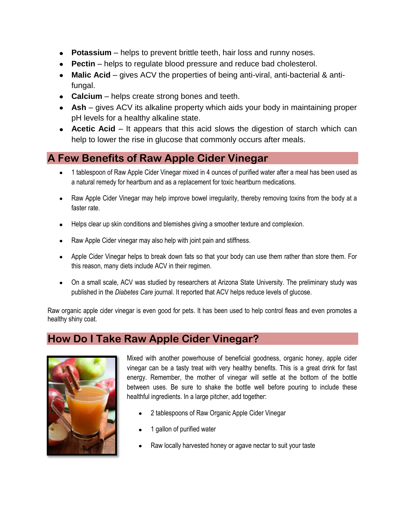- **Potassium** helps to prevent brittle teeth, hair loss and runny noses.
- **Pectin** helps to regulate blood pressure and reduce bad cholesterol.
- **Malic Acid** gives ACV the properties of being anti-viral, anti-bacterial & antifungal.
- **Calcium** helps create strong bones and teeth.
- **Ash** gives ACV its alkaline property which aids your body in maintaining proper pH levels for a healthy alkaline state.
- **Acetic Acid** It appears that this acid slows the digestion of starch which can help to lower the rise in glucose that commonly occurs after meals.

### **A Few Benefits of Raw Apple Cider Vinegar**

- 1 tablespoon of Raw Apple Cider Vinegar mixed in 4 ounces of purified water after a meal has been used as a natural remedy for heartburn and as a replacement for toxic heartburn medications.
- Raw Apple Cider Vinegar may help improve bowel irregularity, thereby removing toxins from the body at a faster rate.
- Helps clear up skin conditions and blemishes giving a smoother texture and complexion.
- Raw Apple Cider vinegar may also help with joint pain and stiffness.
- Apple Cider Vinegar helps to break down fats so that your body can use them rather than store them. For this reason, many diets include ACV in their regimen.
- On a small scale, ACV was studied by researchers at Arizona State University. The preliminary study was published in the *Diabetes Care* journal. It reported that ACV helps reduce levels of glucose.

Raw organic apple cider vinegar is even good for pets. It has been used to help control fleas and even promotes a healthy shiny coat.

#### **How Do I Take Raw Apple Cider Vinegar?**



Mixed with another powerhouse of beneficial goodness, organic honey, apple cider vinegar can be a tasty treat with very healthy benefits. This is a great drink for fast energy. Remember, the mother of vinegar will settle at the bottom of the bottle between uses. Be sure to shake the bottle well before pouring to include these healthful ingredients. In a large pitcher, add together:

- 2 tablespoons of Raw Organic Apple Cider Vinegar
- 1 gallon of purified water
- Raw locally harvested honey or agave nectar to suit your taste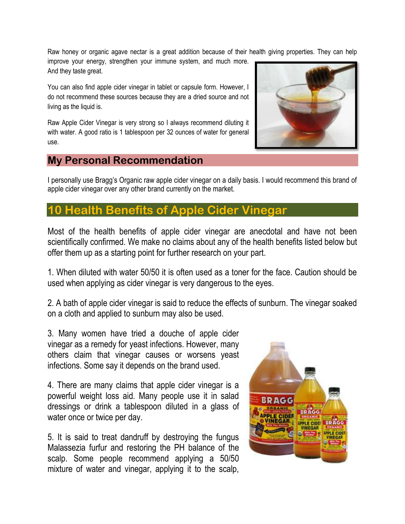Raw honey or organic agave nectar is a great addition because of their health giving properties. They can help improve your energy, strengthen your immune system, and much more. And they taste great.

You can also find apple cider vinegar in tablet or capsule form. However, I do not recommend these sources because they are a dried source and not living as the liquid is.

Raw Apple Cider Vinegar is very strong so I always recommend diluting it with water. A good ratio is 1 tablespoon per 32 ounces of water for general use.

#### **My Personal Recommendation**

I personally use Bragg's Organic raw apple cider vinegar on a daily basis. I would recommend this brand of apple cider vinegar over any other brand currently on the market.

### **10 Benefits of Apple Cider**

Most of the health benefits of apple cider vinegar are anecdotal and have not been scientifically confirmed. We make no claims about any of the health benefits listed below but offer them up as a starting point for further research on your part.

1. When diluted with water 50/50 it is often used as a toner for the face. Caution should be used when applying as cider vinegar is very dangerous to the eyes.

2. A bath of apple cider vinegar is said to reduce the effects of sunburn. The vinegar soaked on a cloth and applied to sunburn may also be used.

3. Many women have tried a douche of apple cider vinegar as a remedy for yeast infections. However, many others claim that vinegar causes or worsens yeast infections. Some say it depends on the brand used.

4. There are many claims that apple cider vinegar is a powerful weight loss aid. Many people use it in salad dressings or drink a tablespoon diluted in a glass of water once or twice per day.

5. It is said to treat dandruff by destroying the fungus Malassezia furfur and restoring the PH balance of the scalp. Some people recommend applying a 50/50 mixture of water and vinegar, applying it to the scalp,